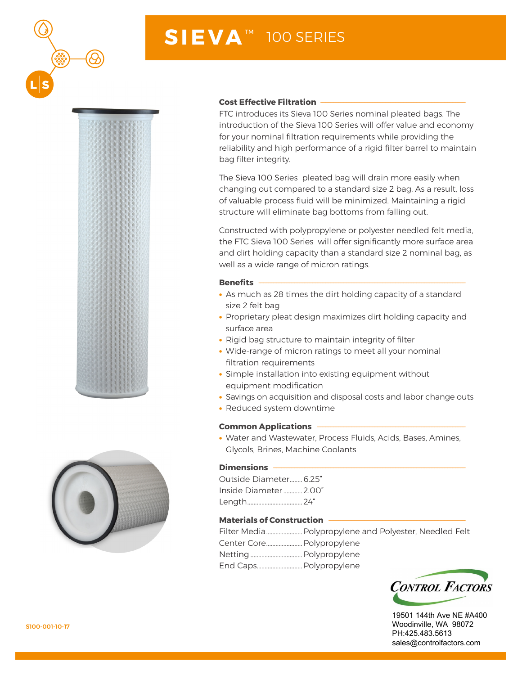

# **SIEVA** ™ 100 SERIES





#### **Cost Effective Filtration -**

FTC introduces its Sieva 100 Series nominal pleated bags. The introduction of the Sieva 100 Series will offer value and economy for your nominal filtration requirements while providing the reliability and high performance of a rigid filter barrel to maintain bag filter integrity.

The Sieva 100 Series pleated bag will drain more easily when changing out compared to a standard size 2 bag. As a result, loss of valuable process fluid will be minimized. Maintaining a rigid structure will eliminate bag bottoms from falling out.

Constructed with polypropylene or polyester needled felt media, the FTC Sieva 100 Series will offer significantly more surface area and dirt holding capacity than a standard size 2 nominal bag, as well as a wide range of micron ratings.

#### **Benefits**

- As much as 28 times the dirt holding capacity of a standard size 2 felt bag
- Proprietary pleat design maximizes dirt holding capacity and surface area
- Rigid bag structure to maintain integrity of filter
- Wide-range of micron ratings to meet all your nominal filtration requirements
- Simple installation into existing equipment without equipment modification
- Savings on acquisition and disposal costs and labor change outs
- Reduced system downtime

# **Common Applications**

• Water and Wastewater, Process Fluids, Acids, Bases, Amines, Glycols, Brines, Machine Coolants

# **Dimensions** -

Outside Diameter........6.25" Inside Diameter............2.00" Length...................................24"

# **Materials of Construction**

|                           | Filter Media Polypropylene and Polyester, Needled Felt |
|---------------------------|--------------------------------------------------------|
| Center Core Polypropylene |                                                        |
|                           |                                                        |
|                           |                                                        |



19501 144th Ave NE #A400 Woodinville, WA 98072 PH:425.483.5613 sales@controlfactors.com